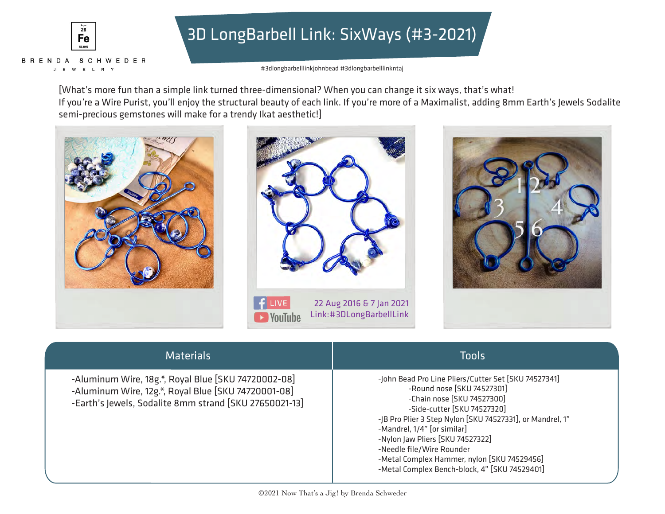

# 3D LongBarbell Link: SixWays (#3-2021)

#3dlongbarbelllinkjohnbead #3dlongbarbelllinkntaj

[What's more fun than a simple link turned three-dimensional? When you can change it six ways, that's what! If you're a Wire Purist, you'll enjoy the structural beauty of each link. If you're more of a Maximalist, adding 8mm Earth's Jewels Sodalite semi-precious gemstones will make for a trendy Ikat aesthetic!]







| <b>Materials</b>                                                                                                                                                     | <b>Tools</b>                                                                                                                                                                                                                                                                                                                                                                                                 |
|----------------------------------------------------------------------------------------------------------------------------------------------------------------------|--------------------------------------------------------------------------------------------------------------------------------------------------------------------------------------------------------------------------------------------------------------------------------------------------------------------------------------------------------------------------------------------------------------|
| -Aluminum Wire, 18g.*, Royal Blue [SKU 74720002-08]<br>-Aluminum Wire, 12g.*, Royal Blue [SKU 74720001-08]<br>-Earth's Jewels, Sodalite 8mm strand [SKU 27650021-13] | -John Bead Pro Line Pliers/Cutter Set [SKU 74527341]<br>-Round nose [SKU 74527301]<br>-Chain nose [SKU 74527300]<br>-Side-cutter [SKU 74527320]<br>-JB Pro Plier 3 Step Nylon [SKU 74527331], or Mandrel, 1"<br>-Mandrel, 1/4" [or similar]<br>-Nylon Jaw Pliers [SKU 74527322]<br>-Needle file/Wire Rounder<br>-Metal Complex Hammer, nylon [SKU 74529456]<br>-Metal Complex Bench-block, 4" [SKU 74529401] |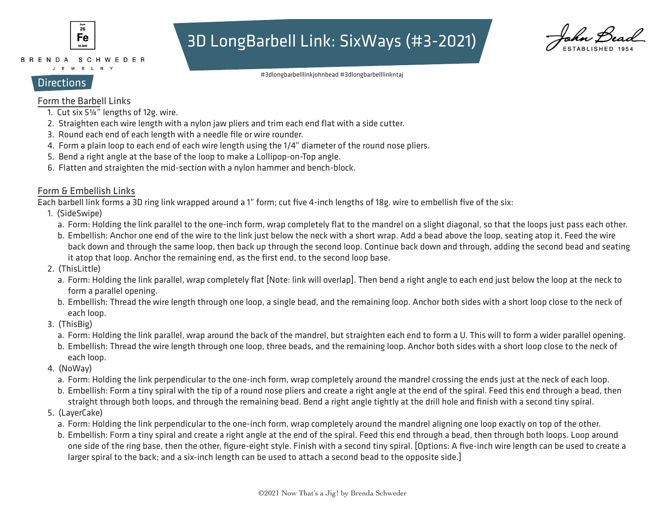

BRENDA SCHWEDER J E W E L R Y

## 3D LongBarbell Link: SixWays (#3-2021)

kn Bei

#3dlongbarbelllinkjohnbead #3dlongbarbelllinkntaj

## **Directions**

## Form the Barbell Links

- 1. Cut six 5¼" lengths of 12g. wire.
- 2. Straighten each wire length with a nylon jaw pliers and trim each end flat with a side cutter.
- 3. Round each end of each length with a needle file or wire rounder.
- 4. Form a plain loop to each end of each wire length using the 1/4" diameter of the round nose pliers.
- 5. Bend a right angle at the base of the loop to make a Lollipop-on-Top angle.
- 6. Flatten and straighten the mid-section with a nylon hammer and bench-block.

## Form & Embellish Links

Each barbell link forms a 3D ring link wrapped around a 1" form; cut five 4-inch lengths of 18g. wire to embellish five of the six:

- 1. (SideSwipe)
	- a. Form: Holding the link parallel to the one-inch form, wrap completely flat to the mandrel on a slight diagonal, so that the loops just pass each other.
	- b. Embellish: Anchor one end of the wire to the link just below the neck with a short wrap. Add a bead above the loop, seating atop it. Feed the wire back down and through the same loop, then back up through the second loop. Continue back down and through, adding the second bead and seating it atop that loop. Anchor the remaining end, as the first end, to the second loop base.
- 2. (ThisLittle)
	- a. Form: Holding the link parallel, wrap completely flat [Note: link will overlap]. Then bend a right angle to each end just below the loop at the neck to form a parallel opening.
	- b. Embellish: Thread the wire length through one loop, a single bead, and the remaining loop. Anchor both sides with a short loop close to the neck of each loop.
- eacri it<br>3. (ThisBig)
	- a. Form: Holding the link parallel, wrap around the back of the mandrel, but straighten each end to form a U. This will to form a wider parallel opening.
	- b. Embellish: Thread the wire length through one loop, three beads, and the remaining loop. Anchor both sides with a short loop close to the neck of each loop.
	- 4. (NoWay)
		- a. Form: Holding the link perpendicular to the one-inch form, wrap completely around the mandrel crossing the ends just at the neck of each loop.
- straight through both loops, and through the remaining bead. Bend a right angle tightly at the drill hole and finish with a second tiny spiral. b. Embellish: Form a tiny spiral with the tip of a round nose pliers and create a right angle at the end of the spiral. Feed this end through a bead, then
	- 5. (LayerCake)
		- a. Form: Holding the link perpendicular to the one-inch form, wrap completely around the mandrel aligning one loop exactly on top of the other.
		- b. Embellish: Form a tiny spiral and create a right angle at the end of the spiral. Feed this end through a bead, then through both loops. Loop around one side of the ring base, then the other, figure-eight style. Finish with a second tiny spiral. [Options: A five-inch wire length can be used to create a larger spiral to the back; and a six-inch length can be used to attach a second bead to the opposite side.]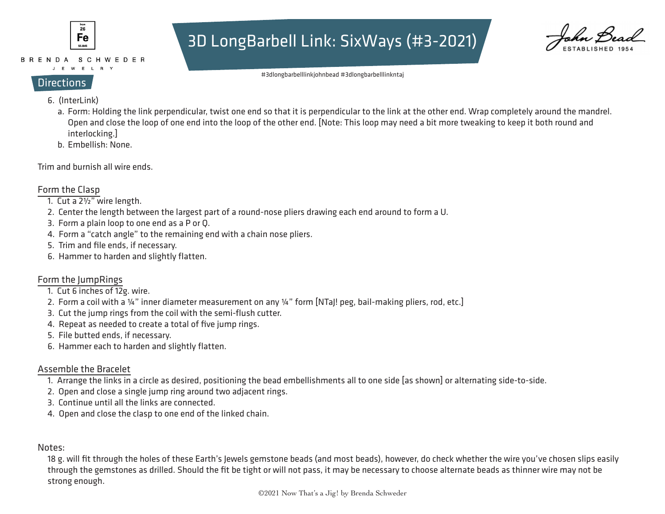

### BRENDA SCHWEDER

#### J E W E L R Y

## 3D LongBarbell Link: SixWays (#3-2021)

#3dlongbarbelllinkjohnbead #3dlongbarbelllinkntaj

- **Directions** 
	- 6. (InterLink)
		- a. Form: Holding the link perpendicular, twist one end so that it is perpendicular to the link at the other end. Wrap completely around the mandrel. Open and close the loop of one end into the loop of the other end. [Note: This loop may need a bit more tweaking to keep it both round and interlocking.]
		- b. Embellish: None.

Trim and burnish all wire ends.

## Form the Clasp

- 1. Cut a 2½" wire length.
- 2. Center the length between the largest part of a round-nose pliers drawing each end around to form a U.
- 3. Form a plain loop to one end as a P or Q.
- 4. Form a "catch angle" to the remaining end with a chain nose pliers.
- 5. Trim and file ends, if necessary.
- 6. Hammer to harden and slightly flatten.

## Form the JumpRings

- 1. Cut 6 inches of 12g. wire.
	- 2. Form a coil with a ¼" inner diameter measurement on any ¼" form [NTaJ! peg, bail-making pliers, rod, etc.]
- 3. Cut the jump rings from the coil with the semi-flush cutter.
	- 4. Repeat as needed to create a total of five jump rings.
	- 5. File butted ends, if necessary.
	- 6. Hammer each to harden and slightly flatten.

## Assemble the Bracelet

- 1. Arrange the links in a circle as desired, positioning the bead embellishments all to one side [as shown] or alternating side-to-side.
- 2. Open and close a single jump ring around two adjacent rings.
- 3. Continue until all the links are connected.
	- 4. Open and close the clasp to one end of the linked chain.

#### ٔ. Notes:

 18 g. will fit through the holes of these Earth's Jewels gemstone beads (and most beads), however, do check whether the wire you've chosen slips easily through the gemstones as drilled. Should the fit be tight or will not pass, it may be necessary to choose alternate beads as thinner wire may not be strong enough.